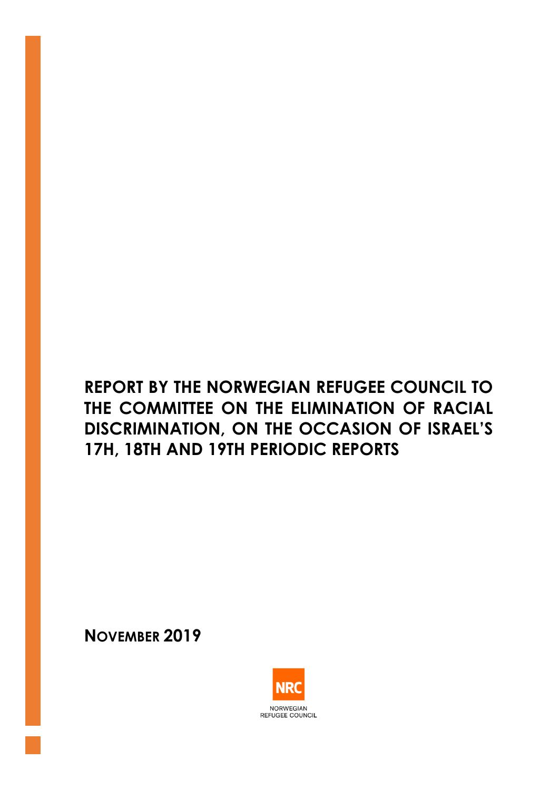# **REPORT BY THE NORWEGIAN REFUGEE COUNCIL TO THE COMMITTEE ON THE ELIMINATION OF RACIAL DISCRIMINATION, ON THE OCCASION OF ISRAEL'S 17H, 18TH AND 19TH PERIODIC REPORTS**

**NOVEMBER 2019**

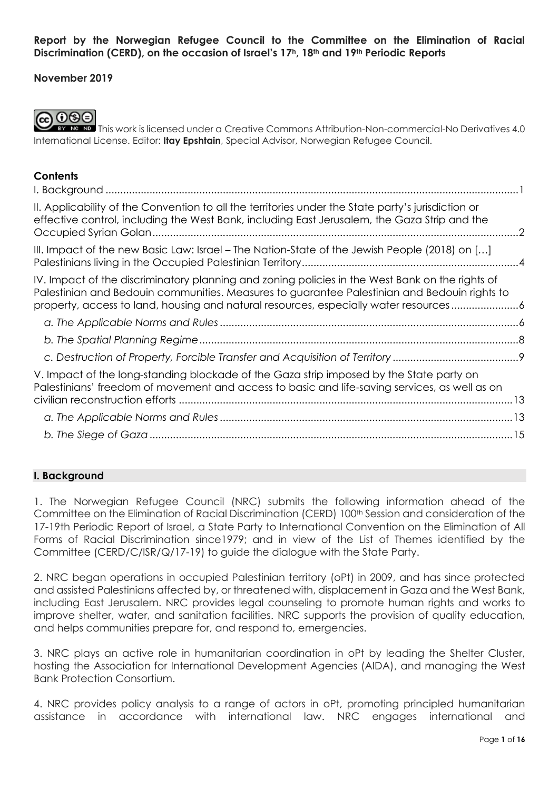#### **Report by the Norwegian Refugee Council to the Committee on the Elimination of Racial Discrimination (CERD), on the occasion of Israel's 17h, 18th and 19th Periodic Reports**

## **November 2019**



**EY NG ND** This work is licensed under a Creative Commons Attribution-Non-commercial-No Derivatives 4.0 International License. Editor: **Itay Epshtain**, Special Advisor, Norwegian Refugee Council.

#### **Contents**

| II. Applicability of the Convention to all the territories under the State party's jurisdiction or<br>effective control, including the West Bank, including East Jerusalem, the Gaza Strip and the                                                                                      | $\mathcal{L}$ |
|-----------------------------------------------------------------------------------------------------------------------------------------------------------------------------------------------------------------------------------------------------------------------------------------|---------------|
| III. Impact of the new Basic Law: Israel – The Nation-State of the Jewish People (2018) on []                                                                                                                                                                                           |               |
| IV. Impact of the discriminatory planning and zoning policies in the West Bank on the rights of<br>Palestinian and Bedouin communities. Measures to guarantee Palestinian and Bedouin rights to<br>property, access to land, housing and natural resources, especially water resources6 |               |
|                                                                                                                                                                                                                                                                                         |               |
|                                                                                                                                                                                                                                                                                         |               |
|                                                                                                                                                                                                                                                                                         |               |
| V. Impact of the long-standing blockade of the Gaza strip imposed by the State party on<br>Palestinians' freedom of movement and access to basic and life-saving services, as well as on                                                                                                |               |
|                                                                                                                                                                                                                                                                                         |               |
|                                                                                                                                                                                                                                                                                         |               |

## <span id="page-1-0"></span>**I. Background**

1. The Norwegian Refugee Council (NRC) submits the following information ahead of the Committee on the Elimination of Racial Discrimination (CERD) 100<sup>th</sup> Session and consideration of the 17-19th Periodic Report of Israel, a State Party to International Convention on the Elimination of All Forms of Racial Discrimination since1979; and in view of the List of Themes identified by the Committee (CERD/C/ISR/Q/17-19) to guide the dialogue with the State Party.

2. NRC began operations in occupied Palestinian territory (oPt) in 2009, and has since protected and assisted Palestinians affected by, or threatened with, displacement in Gaza and the West Bank, including East Jerusalem. NRC provides legal counseling to promote human rights and works to improve shelter, water, and sanitation facilities. NRC supports the provision of quality education, and helps communities prepare for, and respond to, emergencies.

3. NRC plays an active role in humanitarian coordination in oPt by leading the Shelter Cluster, hosting the Association for International Development Agencies (AIDA), and managing the West Bank Protection Consortium.

4. NRC provides policy analysis to a range of actors in oPt, promoting principled humanitarian assistance in accordance with international law. NRC engages international and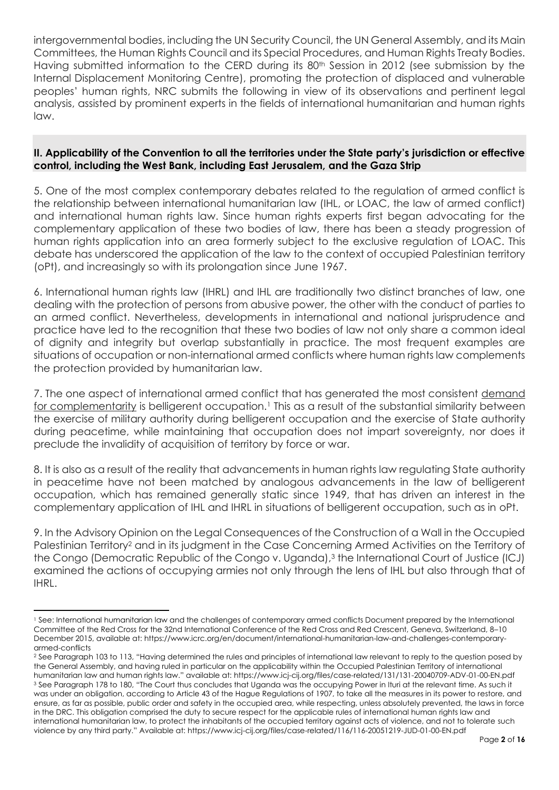intergovernmental bodies, including the UN Security Council, the UN General Assembly, and its Main Committees, the Human Rights Council and its Special Procedures, and Human Rights Treaty Bodies. Having submitted information to the CERD during its 80<sup>th</sup> Session in 2012 (see submission by the Internal Displacement Monitoring Centre), promoting the protection of displaced and vulnerable peoples' human rights, NRC submits the following in view of its observations and pertinent legal analysis, assisted by prominent experts in the fields of international humanitarian and human rights law.

## <span id="page-2-0"></span>**II. Applicability of the Convention to all the territories under the State party's jurisdiction or effective control, including the West Bank, including East Jerusalem, and the Gaza Strip**

5. One of the most complex contemporary debates related to the regulation of armed conflict is the relationship between international humanitarian law (IHL, or LOAC, the law of armed conflict) and international human rights law. Since human rights experts first began advocating for the complementary application of these two bodies of law, there has been a steady progression of human rights application into an area formerly subject to the exclusive regulation of LOAC. This debate has underscored the application of the law to the context of occupied Palestinian territory (oPt), and increasingly so with its prolongation since June 1967.

6. International human rights law (IHRL) and IHL are traditionally two distinct branches of law, one dealing with the protection of persons from abusive power, the other with the conduct of parties to an armed conflict. Nevertheless, developments in international and national jurisprudence and practice have led to the recognition that these two bodies of law not only share a common ideal of dignity and integrity but overlap substantially in practice. The most frequent examples are situations of occupation or non-international armed conflicts where human rights law complements the protection provided by humanitarian law.

7. The one aspect of international armed conflict that has generated the most consistent demand for complementarity is belligerent occupation.<sup>1</sup> This as a result of the substantial similarity between the exercise of military authority during belligerent occupation and the exercise of State authority during peacetime, while maintaining that occupation does not impart sovereignty, nor does it preclude the invalidity of acquisition of territory by force or war.

8. It is also as a result of the reality that advancements in human rights law regulating State authority in peacetime have not been matched by analogous advancements in the law of belligerent occupation, which has remained generally static since 1949, that has driven an interest in the complementary application of IHL and IHRL in situations of belligerent occupation, such as in oPt.

9. In the Advisory Opinion on the Legal Consequences of the Construction of a Wall in the Occupied Palestinian Territory<sup>2</sup> and in its judgment in the Case Concerning Armed Activities on the Territory of the Congo (Democratic Republic of the Congo v. Uganda),<sup>3</sup> the International Court of Justice (ICJ) examined the actions of occupying armies not only through the lens of IHL but also through that of IHRL.

<sup>1</sup> See: International humanitarian law and the challenges of contemporary armed conflicts Document prepared by the International Committee of the Red Cross for the 32nd International Conference of the Red Cross and Red Crescent, Geneva, Switzerland, 8–10 December 2015, available at: https://www.icrc.org/en/document/international-humanitarian-law-and-challenges-contemporaryarmed-conflicts

<sup>&</sup>lt;sup>2</sup> See Paragraph 103 to 113, "Having determined the rules and principles of international law relevant to reply to the question posed by the General Assembly, and having ruled in particular on the applicability within the Occupied Palestinian Territory of international humanitarian law and human rights law." available at: https://www.icj-cij.org/files/case-related/131/131-20040709-ADV-01-00-EN.pdf <sup>3</sup> See Paragraph 178 to 180, "The Court thus concludes that Uganda was the occupying Power in Ituri at the relevant time. As such it was under an obligation, according to Article 43 of the Hague Regulations of 1907, to take all the measures in its power to restore, and ensure, as far as possible, public order and safety in the occupied area, while respecting, unless absolutely prevented, the laws in force in the DRC. This obligation comprised the duty to secure respect for the applicable rules of international human rights law and international humanitarian law, to protect the inhabitants of the occupied territory against acts of violence, and not to tolerate such violence by any third party." Available at: https://www.icj-cij.org/files/case-related/116/116-20051219-JUD-01-00-EN.pdf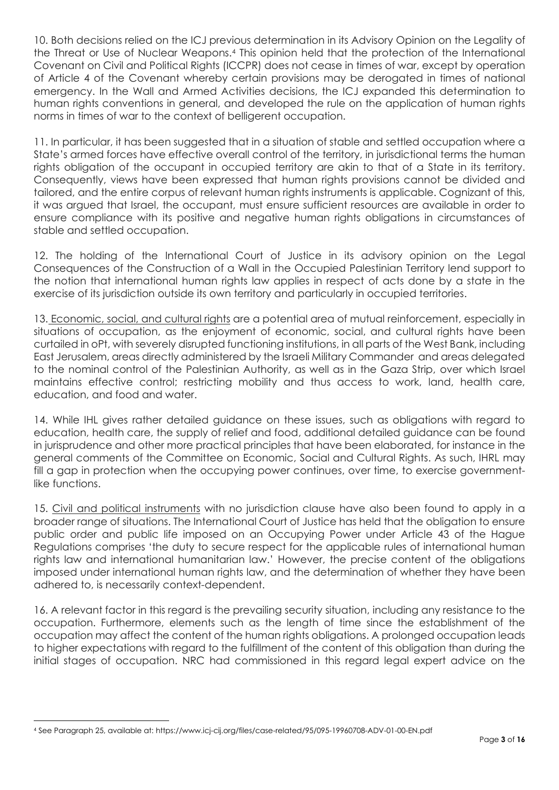10. Both decisions relied on the ICJ previous determination in its Advisory Opinion on the Legality of the Threat or Use of Nuclear Weapons.<sup>4</sup> This opinion held that the protection of the International Covenant on Civil and Political Rights (ICCPR) does not cease in times of war, except by operation of Article 4 of the Covenant whereby certain provisions may be derogated in times of national emergency. In the Wall and Armed Activities decisions, the ICJ expanded this determination to human rights conventions in general, and developed the rule on the application of human rights norms in times of war to the context of belligerent occupation.

11. In particular, it has been suggested that in a situation of stable and settled occupation where a State's armed forces have effective overall control of the territory, in jurisdictional terms the human rights obligation of the occupant in occupied territory are akin to that of a State in its territory. Consequently, views have been expressed that human rights provisions cannot be divided and tailored, and the entire corpus of relevant human rights instruments is applicable. Cognizant of this, it was argued that Israel, the occupant, must ensure sufficient resources are available in order to ensure compliance with its positive and negative human rights obligations in circumstances of stable and settled occupation.

12. The holding of the International Court of Justice in its advisory opinion on the Legal Consequences of the Construction of a Wall in the Occupied Palestinian Territory lend support to the notion that international human rights law applies in respect of acts done by a state in the exercise of its jurisdiction outside its own territory and particularly in occupied territories.

13. Economic, social, and cultural rights are a potential area of mutual reinforcement, especially in situations of occupation, as the enjoyment of economic, social, and cultural rights have been curtailed in oPt, with severely disrupted functioning institutions, in all parts of the West Bank, including East Jerusalem, areas directly administered by the Israeli Military Commander and areas delegated to the nominal control of the Palestinian Authority, as well as in the Gaza Strip, over which Israel maintains effective control; restricting mobility and thus access to work, land, health care, education, and food and water.

14. While IHL gives rather detailed guidance on these issues, such as obligations with regard to education, health care, the supply of relief and food, additional detailed guidance can be found in jurisprudence and other more practical principles that have been elaborated, for instance in the general comments of the Committee on Economic, Social and Cultural Rights. As such, IHRL may fill a gap in protection when the occupying power continues, over time, to exercise governmentlike functions.

15. Civil and political instruments with no jurisdiction clause have also been found to apply in a broader range of situations. The International Court of Justice has held that the obligation to ensure public order and public life imposed on an Occupying Power under Article 43 of the Hague Regulations comprises 'the duty to secure respect for the applicable rules of international human rights law and international humanitarian law.' However, the precise content of the obligations imposed under international human rights law, and the determination of whether they have been adhered to, is necessarily context-dependent.

16. A relevant factor in this regard is the prevailing security situation, including any resistance to the occupation. Furthermore, elements such as the length of time since the establishment of the occupation may affect the content of the human rights obligations. A prolonged occupation leads to higher expectations with regard to the fulfillment of the content of this obligation than during the initial stages of occupation. NRC had commissioned in this regard legal expert advice on the

<sup>4</sup> See Paragraph 25, available at: https://www.icj-cij.org/files/case-related/95/095-19960708-ADV-01-00-EN.pdf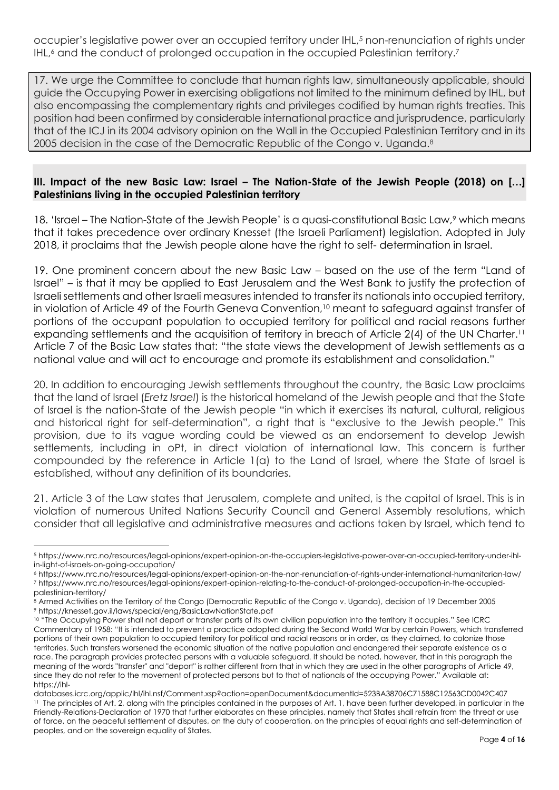occupier's legislative power over an occupied territory under IHL, <sup>5</sup> non-renunciation of rights under IHL,<sup>6</sup> and the conduct of prolonged occupation in the occupied Palestinian territory.<sup>7</sup>

17. We urge the Committee to conclude that human rights law, simultaneously applicable, should guide the Occupying Power in exercising obligations not limited to the minimum defined by IHL, but also encompassing the complementary rights and privileges codified by human rights treaties. This position had been confirmed by considerable international practice and jurisprudence, particularly that of the ICJ in its 2004 advisory opinion on the Wall in the Occupied Palestinian Territory and in its 2005 decision in the case of the Democratic Republic of the Congo v. Uganda.<sup>8</sup>

## <span id="page-4-0"></span>**III. Impact of the new Basic Law: Israel – The Nation-State of the Jewish People (2018) on […] Palestinians living in the occupied Palestinian territory**

18. 'Israel – The Nation-State of the Jewish People' is a quasi-constitutional Basic Law,<sup>9</sup> which means that it takes precedence over ordinary Knesset (the Israeli Parliament) legislation. Adopted in July 2018, it proclaims that the Jewish people alone have the right to self- determination in Israel.

19. One prominent concern about the new Basic Law – based on the use of the term "Land of Israel" – is that it may be applied to East Jerusalem and the West Bank to justify the protection of Israeli settlements and other Israeli measures intended to transfer its nationals into occupied territory, in violation of Article 49 of the Fourth Geneva Convention,<sup>10</sup> meant to safeguard against transfer of portions of the occupant population to occupied territory for political and racial reasons further expanding settlements and the acquisition of territory in breach of Article 2(4) of the UN Charter. 11 Article 7 of the Basic Law states that: "the state views the development of Jewish settlements as a national value and will act to encourage and promote its establishment and consolidation."

20. In addition to encouraging Jewish settlements throughout the country, the Basic Law proclaims that the land of Israel (*Eretz Israel*) is the historical homeland of the Jewish people and that the State of Israel is the nation-State of the Jewish people "in which it exercises its natural, cultural, religious and historical right for self-determination", a right that is "exclusive to the Jewish people." This provision, due to its vague wording could be viewed as an endorsement to develop Jewish settlements, including in oPt, in direct violation of international law. This concern is further compounded by the reference in Article 1(a) to the Land of Israel, where the State of Israel is established, without any definition of its boundaries.

21. Article 3 of the Law states that Jerusalem, complete and united, is the capital of Israel. This is in violation of numerous United Nations Security Council and General Assembly resolutions, which consider that all legislative and administrative measures and actions taken by Israel, which tend to

<sup>5</sup> https://www.nrc.no/resources/legal-opinions/expert-opinion-on-the-occupiers-legislative-power-over-an-occupied-territory-under-ihlin-light-of-israels-on-going-occupation/

<sup>6</sup> https://www.nrc.no/resources/legal-opinions/expert-opinion-on-the-non-renunciation-of-rights-under-international-humanitarian-law/ <sup>7</sup> https://www.nrc.no/resources/legal-opinions/expert-opinion-relating-to-the-conduct-of-prolonged-occupation-in-the-occupiedpalestinian-territory/

<sup>8</sup> Armed Activities on the Territory of the Congo (Democratic Republic of the Congo v. Uganda), decision of 19 December 2005 <sup>9</sup> https://knesset.gov.il/laws/special/eng/BasicLawNationState.pdf

<sup>10 &</sup>quot;The Occupying Power shall not deport or transfer parts of its own civilian population into the territory it occupies." See ICRC Commentary of 1958: "It is intended to prevent a practice adopted during the Second World War by certain Powers, which transferred portions of their own population to occupied territory for political and racial reasons or in order, as they claimed, to colonize those territories. Such transfers worsened the economic situation of the native population and endangered their separate existence as a race. The paragraph provides protected persons with a valuable safeguard. It should be noted, however, that in this paragraph the meaning of the words "transfer" and "deport" is rather different from that in which they are used in the other paragraphs of Article 49, since they do not refer to the movement of protected persons but to that of nationals of the occupying Power." Available at: https://ihl-

databases.icrc.org/applic/ihl/ihl.nsf/Comment.xsp?action=openDocument&documentId=523BA38706C71588C12563CD0042C407 <sup>11</sup> The principles of Art. 2, along with the principles contained in the purposes of Art. 1, have been further developed, in particular in the Friendly-Relations-Declaration of 1970 that further elaborates on these principles, namely that States shall refrain from the threat or use of force, on the peaceful settlement of disputes, on the duty of cooperation, on the principles of equal rights and self-determination of peoples, and on the sovereign equality of States.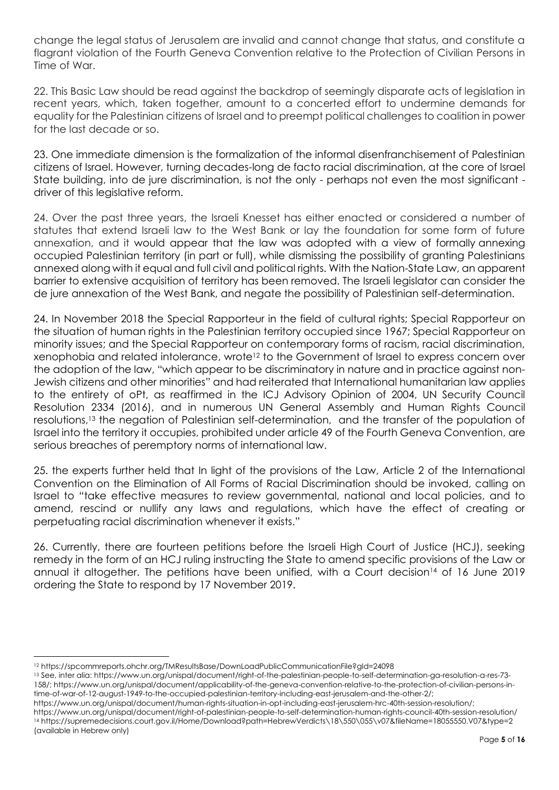change the legal status of Jerusalem are invalid and cannot change that status, and constitute a flagrant violation of the Fourth Geneva Convention relative to the Protection of Civilian Persons in Time of War.

22. This Basic Law should be read against the backdrop of seemingly disparate acts of legislation in recent years, which, taken together, amount to a concerted effort to undermine demands for equality for the Palestinian citizens of Israel and to preempt political challenges to coalition in power for the last decade or so.

23. One immediate dimension is the formalization of the informal disenfranchisement of Palestinian citizens of Israel. However, turning decades-long de facto racial discrimination, at the core of Israel State building, into de jure discrimination, is not the only - perhaps not even the most significant driver of this legislative reform.

24. Over the past three years, the Israeli Knesset has either enacted or considered a number of statutes that extend Israeli law to the West Bank or lay the foundation for some form of future annexation, and it would appear that the law was adopted with a view of formally annexing occupied Palestinian territory (in part or full), while dismissing the possibility of granting Palestinians annexed along with it equal and full civil and political rights. With the Nation-State Law, an apparent barrier to extensive acquisition of territory has been removed. The Israeli legislator can consider the de jure annexation of the West Bank, and negate the possibility of Palestinian self-determination.

24. In November 2018 the Special Rapporteur in the field of cultural rights; Special Rapporteur on the situation of human rights in the Palestinian territory occupied since 1967; Special Rapporteur on minority issues; and the Special Rapporteur on contemporary forms of racism, racial discrimination, xenophobia and related intolerance, wrote<sup>12</sup> to the Government of Israel to express concern over the adoption of the law, "which appear to be discriminatory in nature and in practice against non-Jewish citizens and other minorities" and had reiterated that International humanitarian law applies to the entirety of oPt, as reaffirmed in the ICJ Advisory Opinion of 2004, UN Security Council Resolution 2334 (2016), and in numerous UN General Assembly and Human Rights Council resolutions,<sup>13</sup> the negation of Palestinian self-determination, and the transfer of the population of Israel into the territory it occupies, prohibited under article 49 of the Fourth Geneva Convention, are serious breaches of peremptory norms of international law.

25. the experts further held that In light of the provisions of the Law, Article 2 of the International Convention on the Elimination of All Forms of Racial Discrimination should be invoked, calling on Israel to "take effective measures to review governmental, national and local policies, and to amend, rescind or nullify any laws and regulations, which have the effect of creating or perpetuating racial discrimination whenever it exists."

26. Currently, there are fourteen petitions before the Israeli High Court of Justice (HCJ), seeking remedy in the form of an HCJ ruling instructing the State to amend specific provisions of the Law or annual it altogether. The petitions have been unified, with a Court decision<sup>14</sup> of 16 June 2019 ordering the State to respond by 17 November 2019.

<sup>12</sup> https://spcommreports.ohchr.org/TMResultsBase/DownLoadPublicCommunicationFile?gId=24098

<sup>13</sup> See, inter alia: https://www.un.org/unispal/document/right-of-the-palestinian-people-to-self-determination-ga-resolution-a-res-73- 158/; https://www.un.org/unispal/document/applicability-of-the-geneva-convention-relative-to-the-protection-of-civilian-persons-intime-of-war-of-12-august-1949-to-the-occupied-palestinian-territory-including-east-jerusalem-and-the-other-2/;

https://www.un.org/unispal/document/human-rights-situation-in-opt-including-east-jerusalem-hrc-40th-session-resolution/;

https://www.un.org/unispal/document/right-of-palestinian-people-to-self-determination-human-rights-council-40th-session-resolution/ <sup>14</sup> https://supremedecisions.court.gov.il/Home/Download?path=HebrewVerdicts\18\550\055\v07&fileName=18055550.V07&type=2 (available in Hebrew only)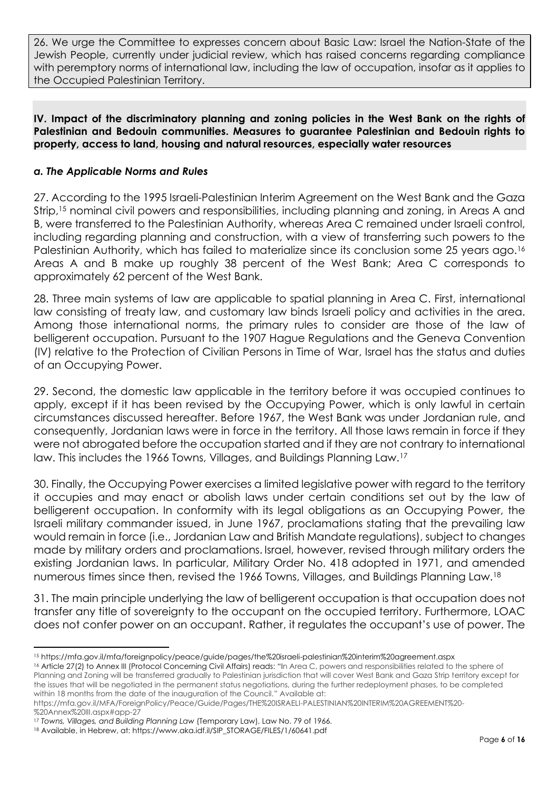26. We urge the Committee to expresses concern about Basic Law: Israel the Nation-State of the Jewish People, currently under judicial review, which has raised concerns regarding compliance with peremptory norms of international law, including the law of occupation, insofar as it applies to the Occupied Palestinian Territory.

#### <span id="page-6-0"></span>**IV. Impact of the discriminatory planning and zoning policies in the West Bank on the rights of Palestinian and Bedouin communities. Measures to guarantee Palestinian and Bedouin rights to property, access to land, housing and natural resources, especially water resources**

## <span id="page-6-1"></span>*a. The Applicable Norms and Rules*

27. According to the 1995 Israeli-Palestinian Interim Agreement on the West Bank and the Gaza Strip,<sup>15</sup> nominal civil powers and responsibilities, including planning and zoning, in Areas A and B, were transferred to the Palestinian Authority, whereas Area C remained under Israeli control, including regarding planning and construction, with a view of transferring such powers to the Palestinian Authority, which has failed to materialize since its conclusion some 25 years ago.<sup>16</sup> Areas A and B make up roughly 38 percent of the West Bank; Area C corresponds to approximately 62 percent of the West Bank.

28. Three main systems of law are applicable to spatial planning in Area C. First, international law consisting of treaty law, and customary law binds Israeli policy and activities in the area. Among those international norms, the primary rules to consider are those of the law of belligerent occupation. Pursuant to the 1907 Hague Regulations and the Geneva Convention (IV) relative to the Protection of Civilian Persons in Time of War, Israel has the status and duties of an Occupying Power.

29. Second, the domestic law applicable in the territory before it was occupied continues to apply, except if it has been revised by the Occupying Power, which is only lawful in certain circumstances discussed hereafter. Before 1967, the West Bank was under Jordanian rule, and consequently, Jordanian laws were in force in the territory. All those laws remain in force if they were not abrogated before the occupation started and if they are not contrary to international law. This includes the 1966 Towns, Villages, and Buildings Planning Law.<sup>17</sup>

30. Finally, the Occupying Power exercises a limited legislative power with regard to the territory it occupies and may enact or abolish laws under certain conditions set out by the law of belligerent occupation. In conformity with its legal obligations as an Occupying Power, the Israeli military commander issued, in June 1967, proclamations stating that the prevailing law would remain in force (i.e., Jordanian Law and British Mandate regulations), subject to changes made by military orders and proclamations. Israel, however, revised through military orders the existing Jordanian laws. In particular, Military Order No. 418 adopted in 1971, and amended numerous times since then, revised the 1966 Towns, Villages, and Buildings Planning Law.<sup>18</sup>

31. The main principle underlying the law of belligerent occupation is that occupation does not transfer any title of sovereignty to the occupant on the occupied territory. Furthermore, LOAC does not confer power on an occupant. Rather, it regulates the occupant's use of power. The

https://mfa.gov.il/MFA/ForeignPolicy/Peace/Guide/Pages/THE%20ISRAELI-PALESTINIAN%20INTERIM%20AGREEMENT%20- %20Annex%20III.aspx#app-27

<sup>15</sup> https://mfa.gov.il/mfa/foreignpolicy/peace/guide/pages/the%20israeli-palestinian%20interim%20agreement.aspx

<sup>16</sup> Article 27(2) to Annex III (Protocol Concerning Civil Affairs) reads: "In Area C, powers and responsibilities related to the sphere of Planning and Zoning will be transferred gradually to Palestinian jurisdiction that will cover West Bank and Gaza Strip territory except for the issues that will be negotiated in the permanent status negotiations, during the further redeployment phases, to be completed within 18 months from the date of the inauguration of the Council." Available at:

<sup>17</sup> *Towns, Villages, and Building Planning Law* (Temporary Law), Law No. 79 of 1966.

<sup>18</sup> Available, in Hebrew, at: https://www.aka.idf.il/SIP\_STORAGE/FILES/1/60641.pdf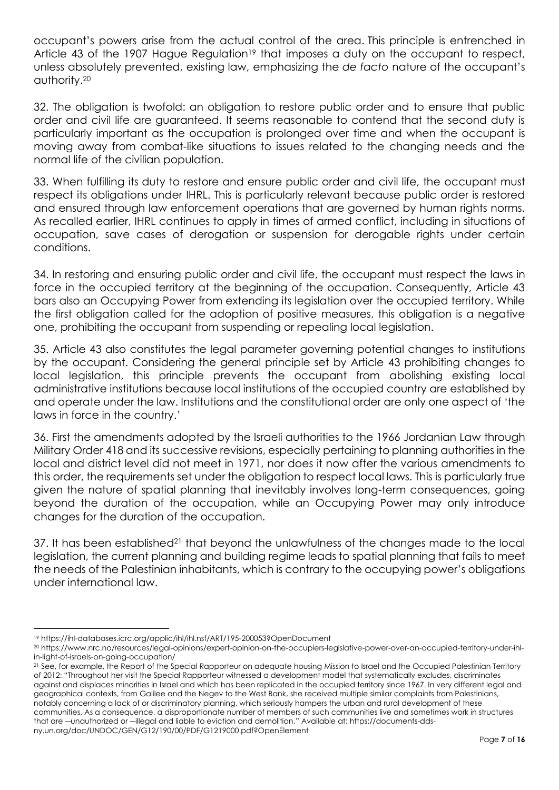occupant's powers arise from the actual control of the area. This principle is entrenched in Article 43 of the 1907 Hague Regulation<sup>19</sup> that imposes a duty on the occupant to respect, unless absolutely prevented, existing law, emphasizing the *de facto* nature of the occupant's authority.<sup>20</sup>

32. The obligation is twofold: an obligation to restore public order and to ensure that public order and civil life are guaranteed. It seems reasonable to contend that the second duty is particularly important as the occupation is prolonged over time and when the occupant is moving away from combat-like situations to issues related to the changing needs and the normal life of the civilian population.

33. When fulfilling its duty to restore and ensure public order and civil life, the occupant must respect its obligations under IHRL. This is particularly relevant because public order is restored and ensured through law enforcement operations that are governed by human rights norms. As recalled earlier, IHRL continues to apply in times of armed conflict, including in situations of occupation, save cases of derogation or suspension for derogable rights under certain conditions.

34. In restoring and ensuring public order and civil life, the occupant must respect the laws in force in the occupied territory at the beginning of the occupation. Consequently, Article 43 bars also an Occupying Power from extending its legislation over the occupied territory. While the first obligation called for the adoption of positive measures, this obligation is a negative one, prohibiting the occupant from suspending or repealing local legislation.

35. Article 43 also constitutes the legal parameter governing potential changes to institutions by the occupant. Considering the general principle set by Article 43 prohibiting changes to local legislation, this principle prevents the occupant from abolishing existing local administrative institutions because local institutions of the occupied country are established by and operate under the law. Institutions and the constitutional order are only one aspect of 'the laws in force in the country.'

36. First the amendments adopted by the Israeli authorities to the 1966 Jordanian Law through Military Order 418 and its successive revisions, especially pertaining to planning authorities in the local and district level did not meet in 1971, nor does it now after the various amendments to this order, the requirements set under the obligation to respect local laws. This is particularly true given the nature of spatial planning that inevitably involves long-term consequences, going beyond the duration of the occupation, while an Occupying Power may only introduce changes for the duration of the occupation.

37. It has been established<sup>21</sup> that beyond the unlawfulness of the changes made to the local legislation, the current planning and building regime leads to spatial planning that fails to meet the needs of the Palestinian inhabitants, which is contrary to the occupying power's obligations under international law.

<sup>19</sup> https://ihl-databases.icrc.org/applic/ihl/ihl.nsf/ART/195-200053?OpenDocument

<sup>20</sup> https://www.nrc.no/resources/legal-opinions/expert-opinion-on-the-occupiers-legislative-power-over-an-occupied-territory-under-ihlin-light-of-israels-on-going-occupation/

<sup>&</sup>lt;sup>21</sup> See, for example, the Report of the Special Rapporteur on adequate housing Mission to Israel and the Occupied Palestinian Territory of 2012: "Throughout her visit the Special Rapporteur witnessed a development model that systematically excludes, discriminates against and displaces minorities in Israel and which has been replicated in the occupied territory since 1967. In very different legal and geographical contexts, from Galilee and the Negev to the West Bank, she received multiple similar complaints from Palestinians, notably concerning a lack of or discriminatory planning, which seriously hampers the urban and rural development of these communities. As a consequence, a disproportionate number of members of such communities live and sometimes work in structures that are ―unauthorized or ―illegal and liable to eviction and demolition." Available at: https://documents-ddsny.un.org/doc/UNDOC/GEN/G12/190/00/PDF/G1219000.pdf?OpenElement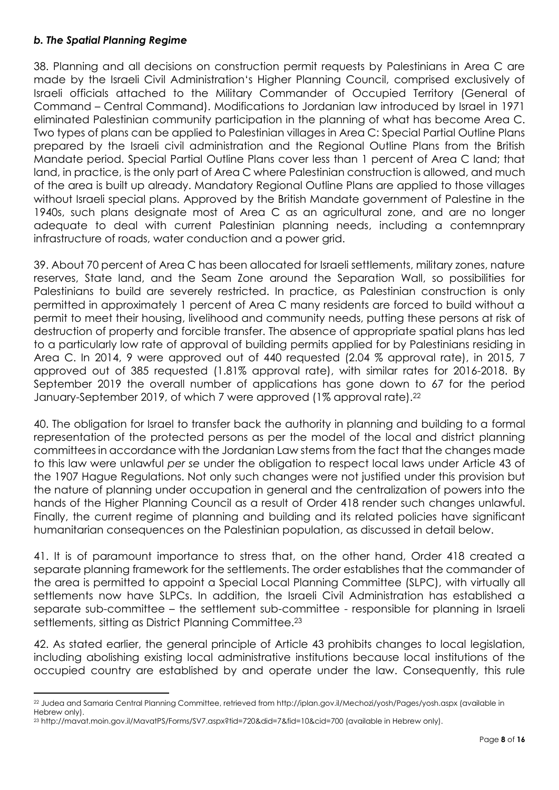## <span id="page-8-0"></span>*b. The Spatial Planning Regime*

38. Planning and all decisions on construction permit requests by Palestinians in Area C are made by the Israeli Civil Administration's Higher Planning Council, comprised exclusively of Israeli officials attached to the Military Commander of Occupied Territory (General of Command – Central Command). Modifications to Jordanian law introduced by Israel in 1971 eliminated Palestinian community participation in the planning of what has become Area C. Two types of plans can be applied to Palestinian villages in Area C: Special Partial Outline Plans prepared by the Israeli civil administration and the Regional Outline Plans from the British Mandate period. Special Partial Outline Plans cover less than 1 percent of Area C land; that land, in practice, is the only part of Area C where Palestinian construction is allowed, and much of the area is built up already. Mandatory Regional Outline Plans are applied to those villages without Israeli special plans. Approved by the British Mandate government of Palestine in the 1940s, such plans designate most of Area C as an agricultural zone, and are no longer adequate to deal with current Palestinian planning needs, including a contemnprary infrastructure of roads, water conduction and a power grid.

39. About 70 percent of Area C has been allocated for Israeli settlements, military zones, nature reserves, State land, and the Seam Zone around the Separation Wall, so possibilities for Palestinians to build are severely restricted. In practice, as Palestinian construction is only permitted in approximately 1 percent of Area C many residents are forced to build without a permit to meet their housing, livelihood and community needs, putting these persons at risk of destruction of property and forcible transfer. The absence of appropriate spatial plans has led to a particularly low rate of approval of building permits applied for by Palestinians residing in Area C. In 2014, 9 were approved out of 440 requested (2.04 % approval rate), in 2015, 7 approved out of 385 requested (1.81% approval rate), with similar rates for 2016-2018. By September 2019 the overall number of applications has gone down to 67 for the period January-September 2019, of which 7 were approved (1% approval rate).<sup>22</sup>

40. The obligation for Israel to transfer back the authority in planning and building to a formal representation of the protected persons as per the model of the local and district planning committees in accordance with the Jordanian Law stems from the fact that the changes made to this law were unlawful *per se* under the obligation to respect local laws under Article 43 of the 1907 Hague Regulations. Not only such changes were not justified under this provision but the nature of planning under occupation in general and the centralization of powers into the hands of the Higher Planning Council as a result of Order 418 render such changes unlawful. Finally, the current regime of planning and building and its related policies have significant humanitarian consequences on the Palestinian population, as discussed in detail below.

41. It is of paramount importance to stress that, on the other hand, Order 418 created a separate planning framework for the settlements. The order establishes that the commander of the area is permitted to appoint a Special Local Planning Committee (SLPC), with virtually all settlements now have SLPCs. In addition, the Israeli Civil Administration has established a separate sub-committee – the settlement sub-committee - responsible for planning in Israeli settlements, sitting as District Planning Committee.<sup>23</sup>

42. As stated earlier, the general principle of Article 43 prohibits changes to local legislation, including abolishing existing local administrative institutions because local institutions of the occupied country are established by and operate under the law. Consequently, this rule

<sup>22</sup> Judea and Samaria Central Planning Committee, retrieved from http://iplan.gov.il/Mechozi/yosh/Pages/yosh.aspx (available in Hebrew only).

<sup>23</sup> http://mavat.moin.gov.il/MavatPS/Forms/SV7.aspx?tid=720&did=7&fid=10&cid=700 (available in Hebrew only).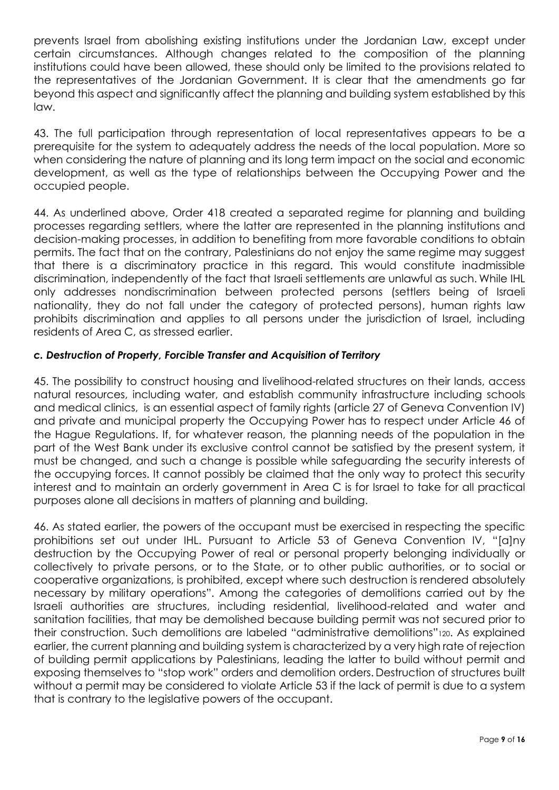prevents Israel from abolishing existing institutions under the Jordanian Law, except under certain circumstances. Although changes related to the composition of the planning institutions could have been allowed, these should only be limited to the provisions related to the representatives of the Jordanian Government. It is clear that the amendments go far beyond this aspect and significantly affect the planning and building system established by this law.

43. The full participation through representation of local representatives appears to be a prerequisite for the system to adequately address the needs of the local population. More so when considering the nature of planning and its long term impact on the social and economic development, as well as the type of relationships between the Occupying Power and the occupied people.

44. As underlined above, Order 418 created a separated regime for planning and building processes regarding settlers, where the latter are represented in the planning institutions and decision-making processes, in addition to benefiting from more favorable conditions to obtain permits. The fact that on the contrary, Palestinians do not enjoy the same regime may suggest that there is a discriminatory practice in this regard. This would constitute inadmissible discrimination, independently of the fact that Israeli settlements are unlawful as such. While IHL only addresses nondiscrimination between protected persons (settlers being of Israeli nationality, they do not fall under the category of protected persons), human rights law prohibits discrimination and applies to all persons under the jurisdiction of Israel, including residents of Area C, as stressed earlier.

# <span id="page-9-0"></span>*c. Destruction of Property, Forcible Transfer and Acquisition of Territory*

45. The possibility to construct housing and livelihood-related structures on their lands, access natural resources, including water, and establish community infrastructure including schools and medical clinics, is an essential aspect of family rights (article 27 of Geneva Convention IV) and private and municipal property the Occupying Power has to respect under Article 46 of the Hague Regulations. If, for whatever reason, the planning needs of the population in the part of the West Bank under its exclusive control cannot be satisfied by the present system, it must be changed, and such a change is possible while safeguarding the security interests of the occupying forces. It cannot possibly be claimed that the only way to protect this security interest and to maintain an orderly government in Area C is for Israel to take for all practical purposes alone all decisions in matters of planning and building.

46. As stated earlier, the powers of the occupant must be exercised in respecting the specific prohibitions set out under IHL. Pursuant to Article 53 of Geneva Convention IV, "[a]ny destruction by the Occupying Power of real or personal property belonging individually or collectively to private persons, or to the State, or to other public authorities, or to social or cooperative organizations, is prohibited, except where such destruction is rendered absolutely necessary by military operations". Among the categories of demolitions carried out by the Israeli authorities are structures, including residential, livelihood-related and water and sanitation facilities, that may be demolished because building permit was not secured prior to their construction. Such demolitions are labeled "administrative demolitions"120. As explained earlier, the current planning and building system is characterized by a very high rate of rejection of building permit applications by Palestinians, leading the latter to build without permit and exposing themselves to "stop work" orders and demolition orders. Destruction of structures built without a permit may be considered to violate Article 53 if the lack of permit is due to a system that is contrary to the legislative powers of the occupant.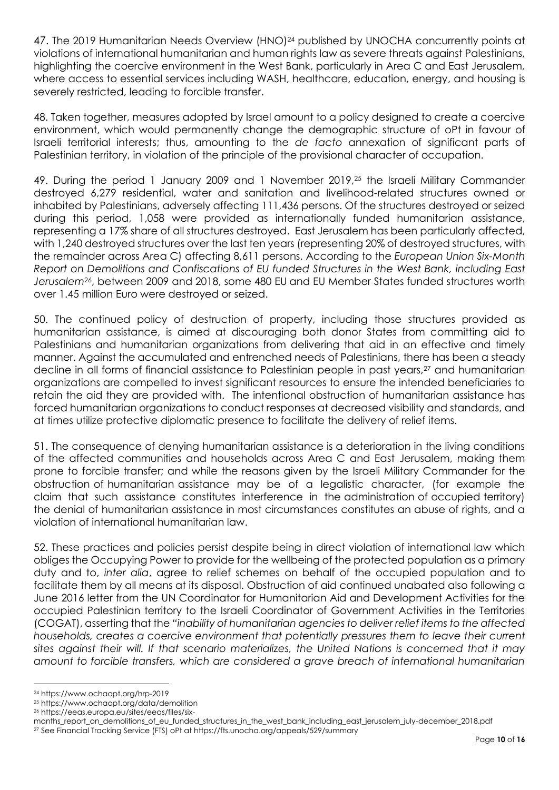47. The 2019 Humanitarian Needs Overview (HNO)<sup>24</sup> published by UNOCHA concurrently points at violations of international humanitarian and human rights law as severe threats against Palestinians, highlighting the coercive environment in the West Bank, particularly in Area C and East Jerusalem, where access to essential services including WASH, healthcare, education, energy, and housing is severely restricted, leading to forcible transfer.

48. Taken together, measures adopted by Israel amount to a policy designed to create a coercive environment, which would permanently change the demographic structure of oPt in favour of Israeli territorial interests; thus, amounting to the *de facto* annexation of significant parts of Palestinian territory, in violation of the principle of the provisional character of occupation.

49. During the period 1 January 2009 and 1 November 2019,<sup>25</sup> the Israeli Military Commander destroyed 6,279 residential, water and sanitation and livelihood-related structures owned or inhabited by Palestinians, adversely affecting 111,436 persons. Of the structures destroyed or seized during this period, 1,058 were provided as internationally funded humanitarian assistance, representing a 17% share of all structures destroyed. East Jerusalem has been particularly affected, with 1,240 destroyed structures over the last ten years (representing 20% of destroyed structures, with the remainder across Area C) affecting 8,611 persons. According to the *European Union Six-Month Report on Demolitions and Confiscations of EU funded Structures in the West Bank, including East Jerusalem*26, between 2009 and 2018, some 480 EU and EU Member States funded structures worth over 1.45 million Euro were destroyed or seized.

50. The continued policy of destruction of property, including those structures provided as humanitarian assistance, is aimed at discouraging both donor States from committing aid to Palestinians and humanitarian organizations from delivering that aid in an effective and timely manner. Against the accumulated and entrenched needs of Palestinians, there has been a steady decline in all forms of financial assistance to Palestinian people in past years,<sup>27</sup> and humanitarian organizations are compelled to invest significant resources to ensure the intended beneficiaries to retain the aid they are provided with. The intentional obstruction of humanitarian assistance has forced humanitarian organizations to conduct responses at decreased visibility and standards, and at times utilize protective diplomatic presence to facilitate the delivery of relief items.

51. The consequence of denying humanitarian assistance is a deterioration in the living conditions of the affected communities and households across Area C and East Jerusalem, making them prone to forcible transfer; and while the reasons given by the Israeli Military Commander for the obstruction of humanitarian assistance may be of a legalistic character, (for example the claim that such assistance constitutes interference in the administration of occupied territory) the denial of humanitarian assistance in most circumstances constitutes an abuse of rights, and a violation of international humanitarian law.

52. These practices and policies persist despite being in direct violation of international law which obliges the Occupying Power to provide for the wellbeing of the protected population as a primary duty and to, *inter alia*, agree to relief schemes on behalf of the occupied population and to facilitate them by all means at its disposal. Obstruction of aid continued unabated also following a June 2016 letter from the UN Coordinator for Humanitarian Aid and Development Activities for the occupied Palestinian territory to the Israeli Coordinator of Government Activities in the Territories (COGAT), asserting that the *"inability of humanitarian agencies to deliver relief items to the affected households, creates a coercive environment that potentially pressures them to leave their current sites against their will. If that scenario materializes, the United Nations is concerned that it may amount to forcible transfers, which are considered a grave breach of international humanitarian* 

<sup>24</sup> https://www.ochaopt.org/hrp-2019

<sup>25</sup> https://www.ochaopt.org/data/demolition

<sup>26</sup> https://eeas.europa.eu/sites/eeas/files/six-

months\_report\_on\_demolitions\_of\_eu\_funded\_structures\_in\_the\_west\_bank\_including\_east\_jerusalem\_july-december\_2018.pdf

<sup>27</sup> See Financial Tracking Service (FTS) oPt at https://fts.unocha.org/appeals/529/summary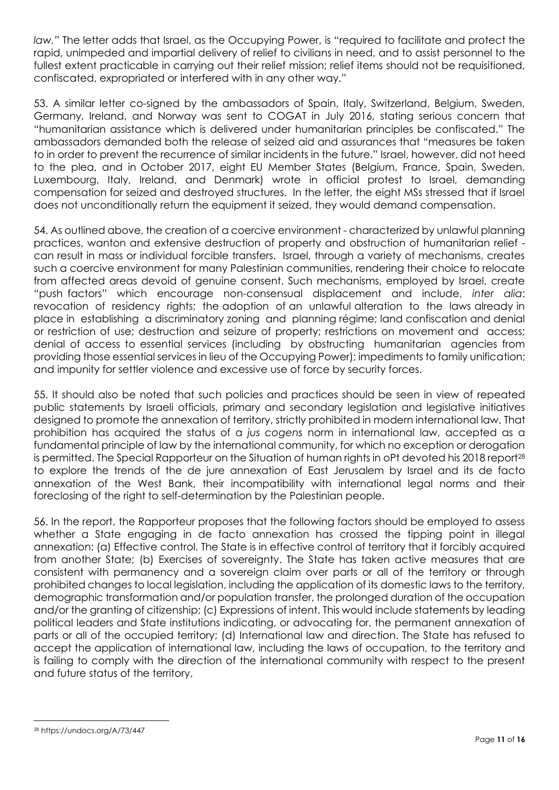*law."* The letter adds that Israel, as the Occupying Power, is "required to facilitate and protect the rapid, unimpeded and impartial delivery of relief to civilians in need, and to assist personnel to the fullest extent practicable in carrying out their relief mission; relief items should not be requisitioned, confiscated, expropriated or interfered with in any other way."

53. A similar letter co-signed by the ambassadors of Spain, Italy, Switzerland, Belgium, Sweden, Germany, Ireland, and Norway was sent to COGAT in July 2016, stating serious concern that "humanitarian assistance which is delivered under humanitarian principles be confiscated." The ambassadors demanded both the release of seized aid and assurances that "measures be taken to in order to prevent the recurrence of similar incidents in the future." Israel, however, did not heed to the plea, and in October 2017, eight EU Member States (Belgium, France, Spain, Sweden, Luxembourg, Italy, Ireland, and Denmark) wrote in official protest to Israel, demanding compensation for seized and destroyed structures. In the letter, the eight MSs stressed that if Israel does not unconditionally return the equipment it seized, they would demand compensation.

54. As outlined above, the creation of a coercive environment - characterized by unlawful planning practices, wanton and extensive destruction of property and obstruction of humanitarian relief can result in mass or individual forcible transfers. Israel, through a variety of mechanisms, creates such a coercive environment for many Palestinian communities, rendering their choice to relocate from affected areas devoid of genuine consent. Such mechanisms, employed by Israel, create "push factors" which encourage non-consensual displacement and include, *inter alia*: revocation of residency rights; the adoption of an unlawful alteration to the laws already in place in establishing a discriminatory zoning and planning régime; land confiscation and denial or restriction of use; destruction and seizure of property; restrictions on movement and access; denial of access to essential services (including by obstructing humanitarian agencies from providing those essential services in lieu of the Occupying Power); impediments to family unification; and impunity for settler violence and excessive use of force by security forces.

55. It should also be noted that such policies and practices should be seen in view of repeated public statements by Israeli officials, primary and secondary legislation and legislative initiatives designed to promote the annexation of territory, strictly prohibited in modern international law. That prohibition has acquired the status of a *jus cogens* norm in international law, accepted as a fundamental principle of law by the international community, for which no exception or derogation is permitted. The Special Rapporteur on the Situation of human rights in oPt devoted his 2018 report<sup>28</sup> to explore the trends of the de jure annexation of East Jerusalem by Israel and its de facto annexation of the West Bank, their incompatibility with international legal norms and their foreclosing of the right to self-determination by the Palestinian people.

56. In the report, the Rapporteur proposes that the following factors should be employed to assess whether a State engaging in de facto annexation has crossed the tipping point in illegal annexation: (a) Effective control. The State is in effective control of territory that it forcibly acquired from another State; (b) Exercises of sovereignty. The State has taken active measures that are consistent with permanency and a sovereign claim over parts or all of the territory or through prohibited changes to local legislation, including the application of its domestic laws to the territory, demographic transformation and/or population transfer, the prolonged duration of the occupation and/or the granting of citizenship; (c) Expressions of intent. This would include statements by leading political leaders and State institutions indicating, or advocating for, the permanent annexation of parts or all of the occupied territory; (d) International law and direction. The State has refused to accept the application of international law, including the laws of occupation, to the territory and is failing to comply with the direction of the international community with respect to the present and future status of the territory.

<sup>28</sup> https://undocs.org/A/73/447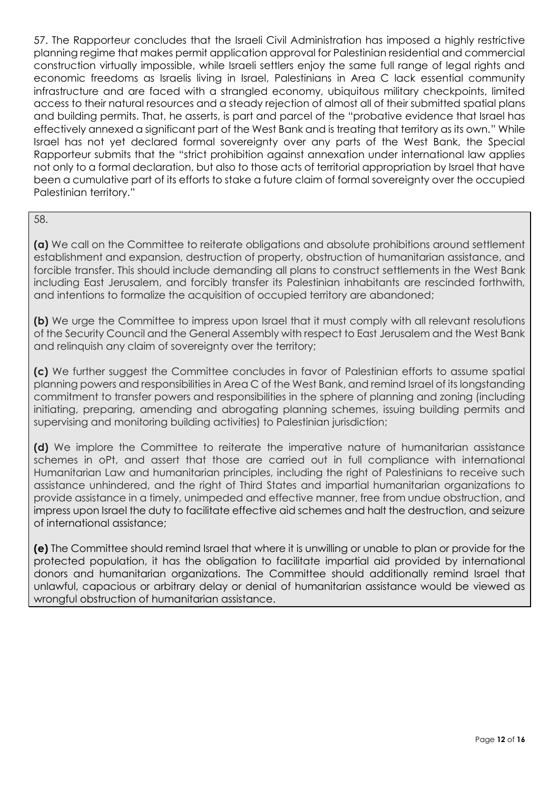57. The Rapporteur concludes that the Israeli Civil Administration has imposed a highly restrictive planning regime that makes permit application approval for Palestinian residential and commercial construction virtually impossible, while Israeli settlers enjoy the same full range of legal rights and economic freedoms as Israelis living in Israel, Palestinians in Area C lack essential community infrastructure and are faced with a strangled economy, ubiquitous military checkpoints, limited access to their natural resources and a steady rejection of almost all of their submitted spatial plans and building permits. That, he asserts, is part and parcel of the "probative evidence that Israel has effectively annexed a significant part of the West Bank and is treating that territory as its own." While Israel has not yet declared formal sovereignty over any parts of the West Bank, the Special Rapporteur submits that the "strict prohibition against annexation under international law applies not only to a formal declaration, but also to those acts of territorial appropriation by Israel that have been a cumulative part of its efforts to stake a future claim of formal sovereignty over the occupied Palestinian territory."

#### 58.

**(a)** We call on the Committee to reiterate obligations and absolute prohibitions around settlement establishment and expansion, destruction of property, obstruction of humanitarian assistance, and forcible transfer. This should include demanding all plans to construct settlements in the West Bank including East Jerusalem, and forcibly transfer its Palestinian inhabitants are rescinded forthwith, and intentions to formalize the acquisition of occupied territory are abandoned;

**(b)** We urge the Committee to impress upon Israel that it must comply with all relevant resolutions of the Security Council and the General Assembly with respect to East Jerusalem and the West Bank and relinquish any claim of sovereignty over the territory;

**(c)** We further suggest the Committee concludes in favor of Palestinian efforts to assume spatial planning powers and responsibilities in Area C of the West Bank, and remind Israel of its longstanding commitment to transfer powers and responsibilities in the sphere of planning and zoning (including initiating, preparing, amending and abrogating planning schemes, issuing building permits and supervising and monitoring building activities) to Palestinian jurisdiction;

**(d)** We implore the Committee to reiterate the imperative nature of humanitarian assistance schemes in oPt, and assert that those are carried out in full compliance with international Humanitarian Law and humanitarian principles, including the right of Palestinians to receive such assistance unhindered, and the right of Third States and impartial humanitarian organizations to provide assistance in a timely, unimpeded and effective manner, free from undue obstruction, and impress upon Israel the duty to facilitate effective aid schemes and halt the destruction, and seizure of international assistance;

<span id="page-12-0"></span>**(e)** The Committee should remind Israel that where it is unwilling or unable to plan or provide for the protected population, it has the obligation to facilitate impartial aid provided by international donors and humanitarian organizations. The Committee should additionally remind Israel that unlawful, capacious or arbitrary delay or denial of humanitarian assistance would be viewed as wrongful obstruction of humanitarian assistance.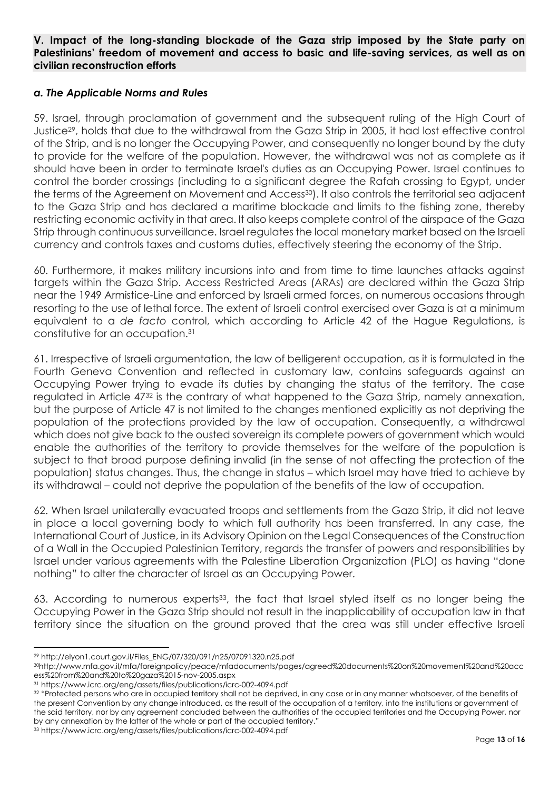#### **V. Impact of the long-standing blockade of the Gaza strip imposed by the State party on Palestinians' freedom of movement and access to basic and life-saving services, as well as on civilian reconstruction efforts**

#### <span id="page-13-0"></span>*a. The Applicable Norms and Rules*

59. Israel, through proclamation of government and the subsequent ruling of the High Court of Justice29, holds that due to the withdrawal from the Gaza Strip in 2005, it had lost effective control of the Strip, and is no longer the Occupying Power, and consequently no longer bound by the duty to provide for the welfare of the population. However, the withdrawal was not as complete as it should have been in order to terminate Israel's duties as an Occupying Power. Israel continues to control the border crossings (including to a significant degree the Rafah crossing to Egypt, under the terms of the Agreement on Movement and Access<sup>30</sup>). It also controls the territorial sea adjacent to the Gaza Strip and has declared a maritime blockade and limits to the fishing zone, thereby restricting economic activity in that area. It also keeps complete control of the airspace of the Gaza Strip through continuous surveillance. Israel regulates the local monetary market based on the Israeli currency and controls taxes and customs duties, effectively steering the economy of the Strip.

60. Furthermore, it makes military incursions into and from time to time launches attacks against targets within the Gaza Strip. Access Restricted Areas (ARAs) are declared within the Gaza Strip near the 1949 Armistice-Line and enforced by Israeli armed forces, on numerous occasions through resorting to the use of lethal force. The extent of Israeli control exercised over Gaza is at a minimum equivalent to a *de facto* control, which according to Article 42 of the Hague Regulations, is constitutive for an occupation. 31

61. Irrespective of Israeli argumentation, the law of belligerent occupation, as it is formulated in the Fourth Geneva Convention and reflected in customary law, contains safeguards against an Occupying Power trying to evade its duties by changing the status of the territory. The case regulated in Article 47<sup>32</sup> is the contrary of what happened to the Gaza Strip, namely annexation, but the purpose of Article 47 is not limited to the changes mentioned explicitly as not depriving the population of the protections provided by the law of occupation. Consequently, a withdrawal which does not give back to the ousted sovereign its complete powers of government which would enable the authorities of the territory to provide themselves for the welfare of the population is subject to that broad purpose defining invalid (in the sense of not affecting the protection of the population) status changes. Thus, the change in status – which Israel may have tried to achieve by its withdrawal – could not deprive the population of the benefits of the law of occupation.

62. When Israel unilaterally evacuated troops and settlements from the Gaza Strip, it did not leave in place a local governing body to which full authority has been transferred. In any case, the International Court of Justice, in its Advisory Opinion on the Legal Consequences of the Construction of a Wall in the Occupied Palestinian Territory, regards the transfer of powers and responsibilities by Israel under various agreements with the Palestine Liberation Organization (PLO) as having "done nothing" to alter the character of Israel as an Occupying Power.

63. According to numerous experts<sup>33</sup>, the fact that Israel styled itself as no longer being the Occupying Power in the Gaza Strip should not result in the inapplicability of occupation law in that territory since the situation on the ground proved that the area was still under effective Israeli

<sup>29</sup> http://elyon1.court.gov.il/Files\_ENG/07/320/091/n25/07091320.n25.pdf

<sup>30</sup>http://www.mfa.gov.il/mfa/foreignpolicy/peace/mfadocuments/pages/agreed%20documents%20on%20movement%20and%20acc ess%20from%20and%20to%20gaza%2015-nov-2005.aspx

<sup>31</sup> https://www.icrc.org/eng/assets/files/publications/icrc-002-4094.pdf

<sup>32 &</sup>quot;Protected persons who are in occupied territory shall not be deprived, in any case or in any manner whatsoever, of the benefits of the present Convention by any change introduced, as the result of the occupation of a territory, into the institutions or government of the said territory, nor by any agreement concluded between the authorities of the occupied territories and the Occupying Power, nor by any annexation by the latter of the whole or part of the occupied territory."

<sup>33</sup> https://www.icrc.org/eng/assets/files/publications/icrc-002-4094.pdf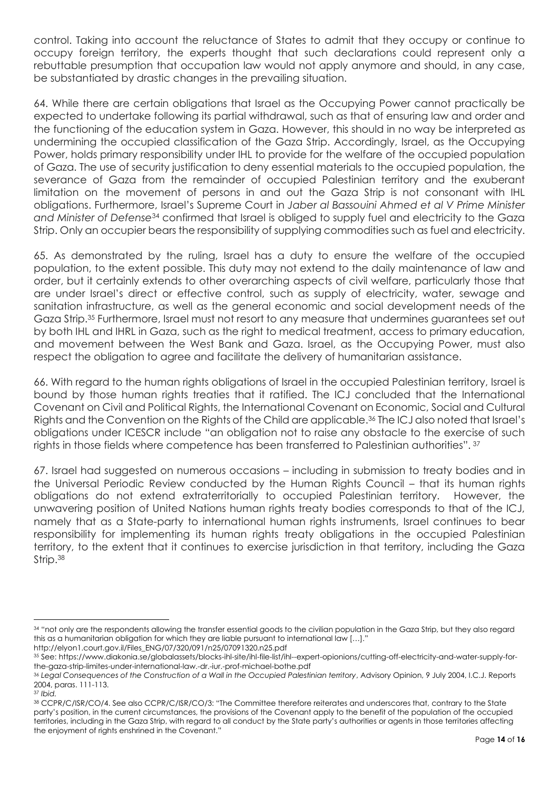control. Taking into account the reluctance of States to admit that they occupy or continue to occupy foreign territory, the experts thought that such declarations could represent only a rebuttable presumption that occupation law would not apply anymore and should, in any case, be substantiated by drastic changes in the prevailing situation.

64. While there are certain obligations that Israel as the Occupying Power cannot practically be expected to undertake following its partial withdrawal, such as that of ensuring law and order and the functioning of the education system in Gaza. However, this should in no way be interpreted as undermining the occupied classification of the Gaza Strip. Accordingly, Israel, as the Occupying Power, holds primary responsibility under IHL to provide for the welfare of the occupied population of Gaza. The use of security justification to deny essential materials to the occupied population, the severance of Gaza from the remainder of occupied Palestinian territory and the exuberant limitation on the movement of persons in and out the Gaza Strip is not consonant with IHL obligations. Furthermore, Israel's Supreme Court in *Jaber al Bassouini Ahmed et al V Prime Minister and Minister of Defense*<sup>34</sup> confirmed that Israel is obliged to supply fuel and electricity to the Gaza Strip. Only an occupier bears the responsibility of supplying commodities such as fuel and electricity.

65. As demonstrated by the ruling, Israel has a duty to ensure the welfare of the occupied population, to the extent possible. This duty may not extend to the daily maintenance of law and order, but it certainly extends to other overarching aspects of civil welfare, particularly those that are under Israel's direct or effective control, such as supply of electricity, water, sewage and sanitation infrastructure, as well as the general economic and social development needs of the Gaza Strip.<sup>35</sup> Furthermore, Israel must not resort to any measure that undermines guarantees set out by both IHL and IHRL in Gaza, such as the right to medical treatment, access to primary education, and movement between the West Bank and Gaza. Israel, as the Occupying Power, must also respect the obligation to agree and facilitate the delivery of humanitarian assistance.

66. With regard to the human rights obligations of Israel in the occupied Palestinian territory, Israel is bound by those human rights treaties that it ratified. The ICJ concluded that the International Covenant on Civil and Political Rights, the International Covenant on Economic, Social and Cultural Rights and the Convention on the Rights of the Child are applicable.<sup>36</sup> The ICJ also noted that Israel's obligations under ICESCR include "an obligation not to raise any obstacle to the exercise of such rights in those fields where competence has been transferred to Palestinian authorities". <sup>37</sup>

67. Israel had suggested on numerous occasions – including in submission to treaty bodies and in the Universal Periodic Review conducted by the Human Rights Council – that its human rights obligations do not extend extraterritorially to occupied Palestinian territory. However, the unwavering position of United Nations human rights treaty bodies corresponds to that of the ICJ, namely that as a State-party to international human rights instruments, Israel continues to bear responsibility for implementing its human rights treaty obligations in the occupied Palestinian territory, to the extent that it continues to exercise jurisdiction in that territory, including the Gaza Strip.<sup>38</sup>

<sup>34 &</sup>quot;not only are the respondents allowing the transfer essential goods to the civilian population in the Gaza Strip, but they also regard this as a humanitarian obligation for which they are liable pursuant to international law […]." http://elyon1.court.gov.il/Files\_ENG/07/320/091/n25/07091320.n25.pdf

<sup>35</sup> See: https://www.diakonia.se/globalassets/blocks-ihl-site/ihl-file-list/ihl--expert-opionions/cutting-off-electricity-and-water-supply-forthe-gaza-strip-limites-under-international-law.-dr.-iur.-prof-michael-bothe.pdf

<sup>36</sup> Legal Consequences of the Construction of a Wall in the Occupied Palestinian territory, Advisory Opinion, 9 July 2004, I.C.J. Reports 2004, paras. 111-113.

<sup>37</sup> *Ibid.* 

<sup>38</sup> CCPR/C/ISR/CO/4. See also CCPR/C/ISR/CO/3: "The Committee therefore reiterates and underscores that, contrary to the State party's position, in the current circumstances, the provisions of the Covenant apply to the benefit of the population of the occupied territories, including in the Gaza Strip, with regard to all conduct by the State party's authorities or agents in those territories affecting the enjoyment of rights enshrined in the Covenant."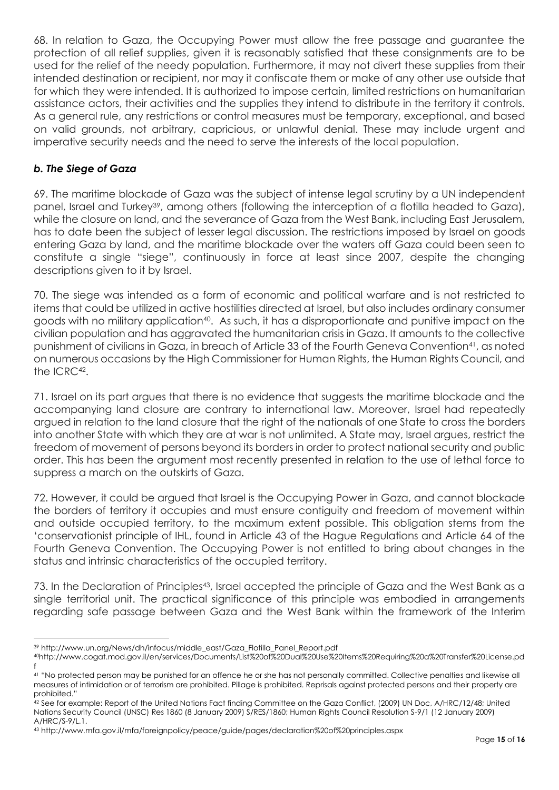68. In relation to Gaza, the Occupying Power must allow the free passage and guarantee the protection of all relief supplies, given it is reasonably satisfied that these consignments are to be used for the relief of the needy population. Furthermore, it may not divert these supplies from their intended destination or recipient, nor may it confiscate them or make of any other use outside that for which they were intended. It is authorized to impose certain, limited restrictions on humanitarian assistance actors, their activities and the supplies they intend to distribute in the territory it controls. As a general rule, any restrictions or control measures must be temporary, exceptional, and based on valid grounds, not arbitrary, capricious, or unlawful denial. These may include urgent and imperative security needs and the need to serve the interests of the local population.

## <span id="page-15-0"></span>*b. The Siege of Gaza*

69. The maritime blockade of Gaza was the subject of intense legal scrutiny by a UN independent panel, Israel and Turkey<sup>39</sup>, among others (following the interception of a flotilla headed to Gaza), while the closure on land, and the severance of Gaza from the West Bank, including East Jerusalem, has to date been the subject of lesser legal discussion. The restrictions imposed by Israel on goods entering Gaza by land, and the maritime blockade over the waters off Gaza could been seen to constitute a single "siege", continuously in force at least since 2007, despite the changing descriptions given to it by Israel.

70. The siege was intended as a form of economic and political warfare and is not restricted to items that could be utilized in active hostilities directed at Israel, but also includes ordinary consumer goods with no military application40. As such, it has a disproportionate and punitive impact on the civilian population and has aggravated the humanitarian crisis in Gaza. It amounts to the collective punishment of civilians in Gaza, in breach of Article 33 of the Fourth Geneva Convention41, as noted on numerous occasions by the High Commissioner for Human Rights, the Human Rights Council, and the ICRC<sup>42</sup>.

71. Israel on its part argues that there is no evidence that suggests the maritime blockade and the accompanying land closure are contrary to international law. Moreover, Israel had repeatedly argued in relation to the land closure that the right of the nationals of one State to cross the borders into another State with which they are at war is not unlimited. A State may, Israel argues, restrict the freedom of movement of persons beyond its borders in order to protect national security and public order. This has been the argument most recently presented in relation to the use of lethal force to suppress a march on the outskirts of Gaza.

72. However, it could be argued that Israel is the Occupying Power in Gaza, and cannot blockade the borders of territory it occupies and must ensure contiguity and freedom of movement within and outside occupied territory, to the maximum extent possible. This obligation stems from the 'conservationist principle of IHL, found in Article 43 of the Hague Regulations and Article 64 of the Fourth Geneva Convention. The Occupying Power is not entitled to bring about changes in the status and intrinsic characteristics of the occupied territory.

73. In the Declaration of Principles<sup>43</sup>, Israel accepted the principle of Gaza and the West Bank as a single territorial unit. The practical significance of this principle was embodied in arrangements regarding safe passage between Gaza and the West Bank within the framework of the Interim

<sup>39</sup> http://www.un.org/News/dh/infocus/middle\_east/Gaza\_Flotilla\_Panel\_Report.pdf

<sup>40</sup>http://www.cogat.mod.gov.il/en/services/Documents/List%20of%20Dual%20Use%20Items%20Requiring%20a%20Transfer%20License.pd f

<sup>41</sup> "No protected person may be punished for an offence he or she has not personally committed. Collective penalties and likewise all measures of intimidation or of terrorism are prohibited. Pillage is prohibited. Reprisals against protected persons and their property are prohibited."

<sup>42</sup> See for example: Report of the United Nations Fact finding Committee on the Gaza Conflict, (2009) UN Doc, A/HRC/12/48; United Nations Security Council (UNSC) Res 1860 (8 January 2009) S/RES/1860; Human Rights Council Resolution S-9/1 (12 January 2009) A/HRC/S-9/L.1.

<sup>43</sup> http://www.mfa.gov.il/mfa/foreignpolicy/peace/guide/pages/declaration%20of%20principles.aspx